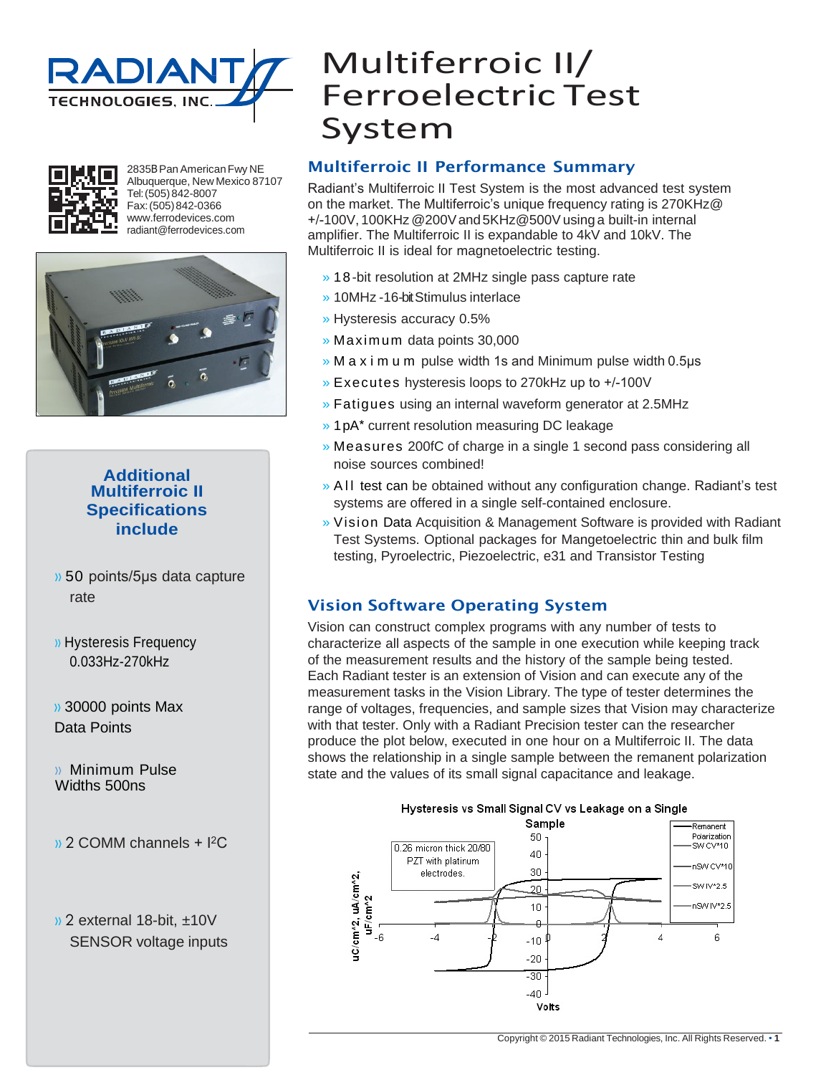



2835BPanAmericanFwy NE Albuquerque, New Mexico 87107 Tel:(505)842-8007 Fax:(505)842-0366 [www.ferrodevices.com](http://www.ferrodevices.com/) [radiant@ferrodevices.com](mailto:radiant@ferrodevices.com)



#### **Additional Multiferroic II Specifications include**

- » 50 points/5µs data capture rate
- » Hysteresis Frequency 0.033Hz-270kHz

» 30000 points Max Data Points

» Minimum Pulse Widths 500ns

- » 2 COMM channels + I<sup>2</sup>C
- » 2 external 18-bit, ±10V SENSOR voltage inputs

# Multiferroic II/ Ferroelectric Test System

#### Multiferroic II Performance Summary

Radiant's Multiferroic II Test System is the most advanced test system on the market. The Multiferroic's unique frequency rating is 270KHz@ +/-100V, 100KHz @200V and 5KHz@500V using a built-in internal amplifier. The Multiferroic II is expandable to 4kV and 10kV. The Multiferroic II is ideal for magnetoelectric testing.

- » 18-bit resolution at 2MHz single pass capture rate
- » 10MHz -16-bit Stimulus interlace
- » Hysteresis accuracy 0.5%
- » Max im um data points 30,000
- » M a x i m u m pulse width 1s and Minimum pulse width 0.5μs
- » Executes hysteresis loops to 270kHz up to +/-100V
- » Fatigues using an internal waveform generator at 2.5MHz
- » 1pA\* current resolution measuring DC leakage
- » Measures 200fC of charge in a single 1 second pass considering all noise sources combined!
- » A II test can be obtained without any configuration change. Radiant's test systems are offered in a single self-contained enclosure.
- » Vision Data Acquisition & Management Software is provided with Radiant Test Systems. Optional packages for Mangetoelectric thin and bulk film testing, Pyroelectric, Piezoelectric, e31 and Transistor Testing

#### Vision Software Operating System

Vision can construct complex programs with any number of tests to characterize all aspects of the sample in one execution while keeping track of the measurement results and the history of the sample being tested. Each Radiant tester is an extension of Vision and can execute any of the measurement tasks in the Vision Library. The type of tester determines the range of voltages, frequencies, and sample sizes that Vision may characterize with that tester. Only with a Radiant Precision tester can the researcher produce the plot below, executed in one hour on a Multiferroic II. The data shows the relationship in a single sample between the remanent polarization state and the values of its small signal capacitance and leakage.